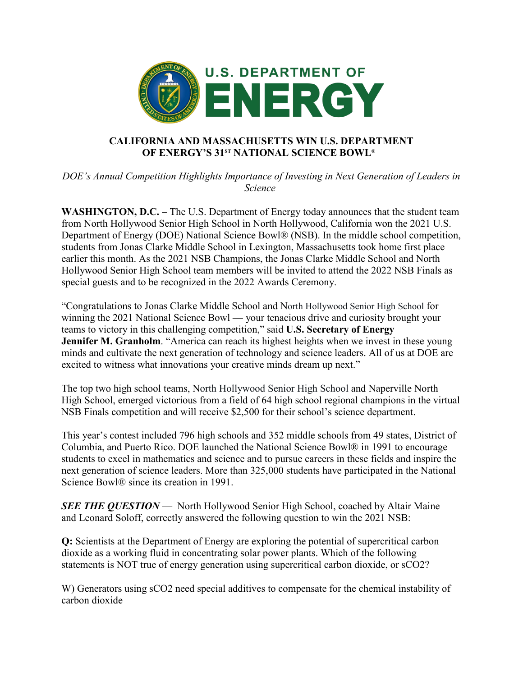

## **CALIFORNIA AND MASSACHUSETTS WIN U.S. DEPARTMENT OF ENERGY'S 31ST NATIONAL SCIENCE BOWL®**

*DOE's Annual Competition Highlights Importance of Investing in Next Generation of Leaders in Science*

**WASHINGTON, D.C.** – The U.S. Department of Energy today announces that the student team from North Hollywood Senior High School in North Hollywood, California won the 2021 U.S. Department of Energy (DOE) National Science Bowl® (NSB). In the middle school competition, students from Jonas Clarke Middle School in Lexington, Massachusetts took home first place earlier this month. As the 2021 NSB Champions, the Jonas Clarke Middle School and North Hollywood Senior High School team members will be invited to attend the 2022 NSB Finals as special guests and to be recognized in the 2022 Awards Ceremony.

"Congratulations to Jonas Clarke Middle School and North Hollywood Senior High School for winning the 2021 National Science Bowl — your tenacious drive and curiosity brought your teams to victory in this challenging competition," said **U.S. Secretary of Energy Jennifer M. Granholm**. "America can reach its highest heights when we invest in these young minds and cultivate the next generation of technology and science leaders. All of us at DOE are excited to witness what innovations your creative minds dream up next."

The top two high school teams, North Hollywood Senior High School and Naperville North High School, emerged victorious from a field of 64 high school regional champions in the virtual NSB Finals competition and will receive \$2,500 for their school's science department.

This year's contest included 796 high schools and 352 middle schools from 49 states, District of Columbia, and Puerto Rico. DOE launched the National Science Bowl® in 1991 to encourage students to excel in mathematics and science and to pursue careers in these fields and inspire the next generation of science leaders. More than 325,000 students have participated in the National Science Bowl® since its creation in 1991.

*SEE THE QUESTION* — North Hollywood Senior High School, coached by Altair Maine and Leonard Soloff, correctly answered the following question to win the 2021 NSB:

**Q:** Scientists at the Department of Energy are exploring the potential of supercritical carbon dioxide as a working fluid in concentrating solar power plants. Which of the following statements is NOT true of energy generation using supercritical carbon dioxide, or sCO2?

W) Generators using sCO2 need special additives to compensate for the chemical instability of carbon dioxide